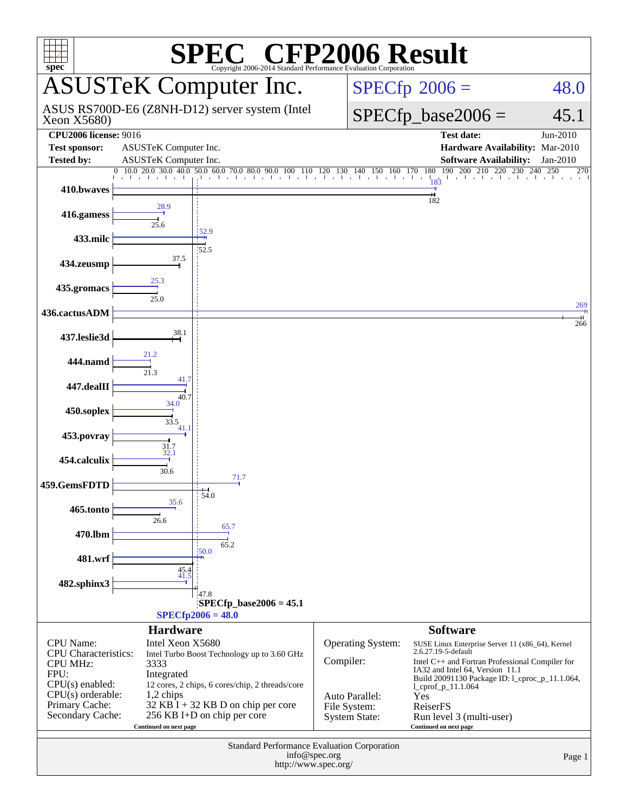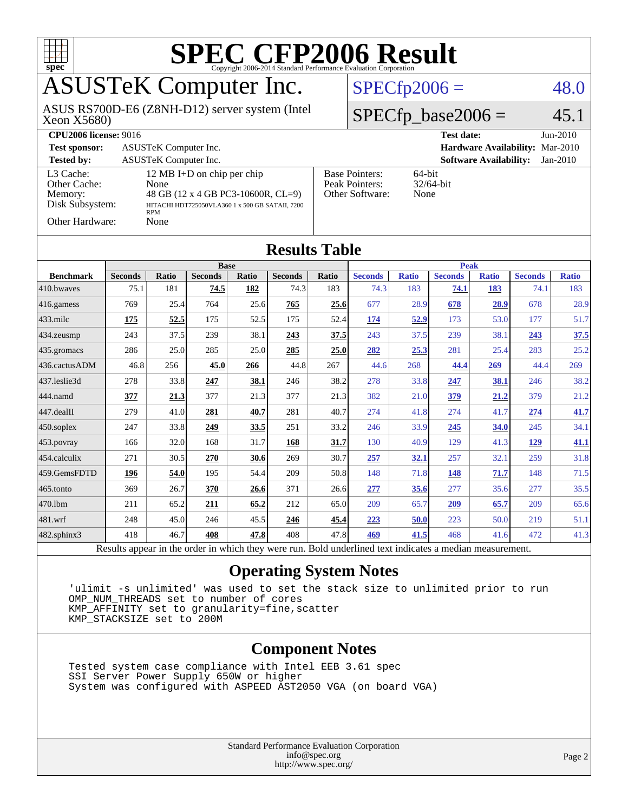

## ASUSTeK Computer Inc.

Xeon X5680) ASUS RS700D-E6 (Z8NH-D12) server system (Intel  $SPECfp2006 = 48.0$  $SPECfp2006 = 48.0$ 

### $SPECfp\_base2006 = 45.1$

| <b>CPU2006 license: 9016</b>                                                      |                                                                                                                                                   |                                                            | <b>Test date:</b><br>$Jun-2010$             |  |  |  |
|-----------------------------------------------------------------------------------|---------------------------------------------------------------------------------------------------------------------------------------------------|------------------------------------------------------------|---------------------------------------------|--|--|--|
| <b>Test sponsor:</b>                                                              | ASUSTeK Computer Inc.                                                                                                                             |                                                            | Hardware Availability: Mar-2010             |  |  |  |
| <b>Tested by:</b>                                                                 | <b>ASUSTeK Computer Inc.</b>                                                                                                                      |                                                            | <b>Software Availability:</b><br>$Jan-2010$ |  |  |  |
| L3 Cache:<br>Other Cache:<br>Memory:<br>Disk Subsystem:<br><b>Other Hardware:</b> | 12 MB I+D on chip per chip<br>None<br>48 GB (12 x 4 GB PC3-10600R, CL=9)<br>HITACHI HDT725050VLA360 1 x 500 GB SATAII, 7200<br><b>RPM</b><br>None | <b>Base Pointers:</b><br>Peak Pointers:<br>Other Software: | $64$ -bit<br>$32/64$ -bit<br>None           |  |  |  |

| <b>Results Table</b> |                |              |                |       |                |             |                |              |                |              |                |              |
|----------------------|----------------|--------------|----------------|-------|----------------|-------------|----------------|--------------|----------------|--------------|----------------|--------------|
|                      | <b>Base</b>    |              |                |       |                | <b>Peak</b> |                |              |                |              |                |              |
| <b>Benchmark</b>     | <b>Seconds</b> | <b>Ratio</b> | <b>Seconds</b> | Ratio | <b>Seconds</b> | Ratio       | <b>Seconds</b> | <b>Ratio</b> | <b>Seconds</b> | <b>Ratio</b> | <b>Seconds</b> | <b>Ratio</b> |
| 410.bwayes           | 75.1           | 181          | 74.5           | 182   | 74.3           | 183         | 74.3           | 183          | 74.1           | 183          | 74.1           | 183          |
| 416.gamess           | 769            | 25.4         | 764            | 25.6  | 765            | 25.6        | 677            | 28.9         | 678            | 28.9         | 678            | 28.9         |
| 433.milc             | 175            | 52.5         | 175            | 52.5  | 175            | 52.4        | 174            | 52.9         | 173            | 53.0         | 177            | 51.7         |
| 434.zeusmp           | 243            | 37.5         | 239            | 38.1  | 243            | 37.5        | 243            | 37.5         | 239            | 38.1         | 243            | 37.5         |
| 435.gromacs          | 286            | 25.0         | 285            | 25.0  | 285            | 25.0        | 282            | 25.3         | 281            | 25.4         | 283            | 25.2         |
| 436.cactusADM        | 46.8           | 256          | 45.0           | 266   | 44.8           | 267         | 44.6           | 268          | 44.4           | 269          | 44.4           | 269          |
| 437.leslie3d         | 278            | 33.8         | 247            | 38.1  | 246            | 38.2        | 278            | 33.8         | 247            | 38.1         | 246            | 38.2         |
| 444.namd             | 377            | 21.3         | 377            | 21.3  | 377            | 21.3        | 382            | 21.0         | 379            | 21.2         | 379            | 21.2         |
| 447.dealII           | 279            | 41.0         | 281            | 40.7  | 281            | 40.7        | 274            | 41.8         | 274            | 41.7         | 274            | 41.7         |
| 450.soplex           | 247            | 33.8         | 249            | 33.5  | 251            | 33.2        | 246            | 33.9         | 245            | 34.0         | 245            | 34.1         |
| 453.povray           | 166            | 32.0         | 168            | 31.7  | 168            | 31.7        | 130            | 40.9         | 129            | 41.3         | 129            | 41.1         |
| 454.calculix         | 271            | 30.5         | 270            | 30.6  | 269            | 30.7        | 257            | 32.1         | 257            | 32.1         | 259            | 31.8         |
| 459.GemsFDTD         | 196            | 54.0         | 195            | 54.4  | 209            | 50.8        | 148            | 71.8         | 148            | 71.7         | 148            | 71.5         |
| 465.tonto            | 369            | 26.7         | 370            | 26.6  | 371            | 26.6        | 277            | 35.6         | 277            | 35.6         | 277            | 35.5         |
| 470.1bm              | 211            | 65.2         | 211            | 65.2  | 212            | 65.0        | 209            | 65.7         | 209            | 65.7         | 209            | 65.6         |
| 481.wrf              | 248            | 45.0         | 246            | 45.5  | 246            | 45.4        | 223            | 50.0         | 223            | 50.0         | 219            | 51.1         |
| 482.sphinx3          | 418            | 46.7         | 408            | 47.8  | 408            | 47.8        | 469            | 41.5         | 468            | 41.6         | 472            | 41.3         |

Results appear in the [order in which they were run.](http://www.spec.org/auto/cpu2006/Docs/result-fields.html#RunOrder) Bold underlined text [indicates a median measurement.](http://www.spec.org/auto/cpu2006/Docs/result-fields.html#Median)

### **[Operating System Notes](http://www.spec.org/auto/cpu2006/Docs/result-fields.html#OperatingSystemNotes)**

 'ulimit -s unlimited' was used to set the stack size to unlimited prior to run OMP\_NUM\_THREADS set to number of cores KMP\_AFFINITY set to granularity=fine,scatter KMP\_STACKSIZE set to 200M

### **[Component Notes](http://www.spec.org/auto/cpu2006/Docs/result-fields.html#ComponentNotes)**

 Tested system case compliance with Intel EEB 3.61 spec SSI Server Power Supply 650W or higher System was configured with ASPEED AST2050 VGA (on board VGA)

> Standard Performance Evaluation Corporation [info@spec.org](mailto:info@spec.org) <http://www.spec.org/>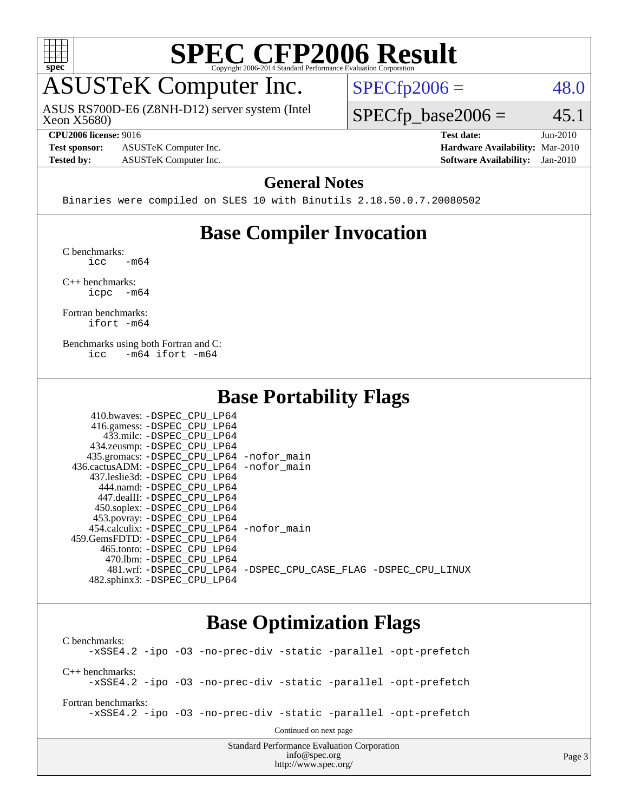

## ASUSTeK Computer Inc.

ASUS RS700D-E6 (Z8NH-D12) server system (Intel

 $SPECfp2006 = 48.0$  $SPECfp2006 = 48.0$ 

Xeon X5680)

**[Test sponsor:](http://www.spec.org/auto/cpu2006/Docs/result-fields.html#Testsponsor)** ASUSTeK Computer Inc. **[Hardware Availability:](http://www.spec.org/auto/cpu2006/Docs/result-fields.html#HardwareAvailability)** Mar-2010 **[Tested by:](http://www.spec.org/auto/cpu2006/Docs/result-fields.html#Testedby)** ASUSTeK Computer Inc. **[Software Availability:](http://www.spec.org/auto/cpu2006/Docs/result-fields.html#SoftwareAvailability)** Jan-2010

 $SPECfp\_base2006 = 45.1$ **[CPU2006 license:](http://www.spec.org/auto/cpu2006/Docs/result-fields.html#CPU2006license)** 9016 **[Test date:](http://www.spec.org/auto/cpu2006/Docs/result-fields.html#Testdate)** Jun-2010

### **[General Notes](http://www.spec.org/auto/cpu2006/Docs/result-fields.html#GeneralNotes)**

Binaries were compiled on SLES 10 with Binutils 2.18.50.0.7.20080502

### **[Base Compiler Invocation](http://www.spec.org/auto/cpu2006/Docs/result-fields.html#BaseCompilerInvocation)**

[C benchmarks](http://www.spec.org/auto/cpu2006/Docs/result-fields.html#Cbenchmarks):  $\text{icc}$   $-\text{m64}$ 

[C++ benchmarks:](http://www.spec.org/auto/cpu2006/Docs/result-fields.html#CXXbenchmarks) [icpc -m64](http://www.spec.org/cpu2006/results/res2010q3/cpu2006-20100705-12176.flags.html#user_CXXbase_intel_icpc_64bit_bedb90c1146cab66620883ef4f41a67e)

[Fortran benchmarks](http://www.spec.org/auto/cpu2006/Docs/result-fields.html#Fortranbenchmarks): [ifort -m64](http://www.spec.org/cpu2006/results/res2010q3/cpu2006-20100705-12176.flags.html#user_FCbase_intel_ifort_64bit_ee9d0fb25645d0210d97eb0527dcc06e)

[Benchmarks using both Fortran and C](http://www.spec.org/auto/cpu2006/Docs/result-fields.html#BenchmarksusingbothFortranandC): [icc -m64](http://www.spec.org/cpu2006/results/res2010q3/cpu2006-20100705-12176.flags.html#user_CC_FCbase_intel_icc_64bit_0b7121f5ab7cfabee23d88897260401c) [ifort -m64](http://www.spec.org/cpu2006/results/res2010q3/cpu2006-20100705-12176.flags.html#user_CC_FCbase_intel_ifort_64bit_ee9d0fb25645d0210d97eb0527dcc06e)

### **[Base Portability Flags](http://www.spec.org/auto/cpu2006/Docs/result-fields.html#BasePortabilityFlags)**

| 410.bwaves: -DSPEC CPU LP64                |                                                                |
|--------------------------------------------|----------------------------------------------------------------|
| 416.gamess: -DSPEC_CPU_LP64                |                                                                |
| 433.milc: -DSPEC CPU LP64                  |                                                                |
| 434.zeusmp: -DSPEC_CPU_LP64                |                                                                |
| 435.gromacs: -DSPEC_CPU_LP64 -nofor_main   |                                                                |
| 436.cactusADM: -DSPEC CPU LP64 -nofor main |                                                                |
| 437.leslie3d: -DSPEC CPU LP64              |                                                                |
| 444.namd: -DSPEC CPU LP64                  |                                                                |
| 447.dealII: -DSPEC CPU LP64                |                                                                |
| 450.soplex: -DSPEC_CPU_LP64                |                                                                |
| 453.povray: -DSPEC_CPU_LP64                |                                                                |
| 454.calculix: -DSPEC CPU LP64 -nofor main  |                                                                |
| 459. GemsFDTD: - DSPEC CPU LP64            |                                                                |
| 465.tonto: -DSPEC CPU LP64                 |                                                                |
| 470.1bm: - DSPEC CPU LP64                  |                                                                |
|                                            | 481.wrf: -DSPEC CPU_LP64 -DSPEC_CPU_CASE_FLAG -DSPEC_CPU_LINUX |
| 482.sphinx3: -DSPEC CPU LP64               |                                                                |

### **[Base Optimization Flags](http://www.spec.org/auto/cpu2006/Docs/result-fields.html#BaseOptimizationFlags)**

[C benchmarks](http://www.spec.org/auto/cpu2006/Docs/result-fields.html#Cbenchmarks): [-xSSE4.2](http://www.spec.org/cpu2006/results/res2010q3/cpu2006-20100705-12176.flags.html#user_CCbase_f-xSSE42_f91528193cf0b216347adb8b939d4107) [-ipo](http://www.spec.org/cpu2006/results/res2010q3/cpu2006-20100705-12176.flags.html#user_CCbase_f-ipo) [-O3](http://www.spec.org/cpu2006/results/res2010q3/cpu2006-20100705-12176.flags.html#user_CCbase_f-O3) [-no-prec-div](http://www.spec.org/cpu2006/results/res2010q3/cpu2006-20100705-12176.flags.html#user_CCbase_f-no-prec-div) [-static](http://www.spec.org/cpu2006/results/res2010q3/cpu2006-20100705-12176.flags.html#user_CCbase_f-static) [-parallel](http://www.spec.org/cpu2006/results/res2010q3/cpu2006-20100705-12176.flags.html#user_CCbase_f-parallel) [-opt-prefetch](http://www.spec.org/cpu2006/results/res2010q3/cpu2006-20100705-12176.flags.html#user_CCbase_f-opt-prefetch) [C++ benchmarks:](http://www.spec.org/auto/cpu2006/Docs/result-fields.html#CXXbenchmarks) [-xSSE4.2](http://www.spec.org/cpu2006/results/res2010q3/cpu2006-20100705-12176.flags.html#user_CXXbase_f-xSSE42_f91528193cf0b216347adb8b939d4107) [-ipo](http://www.spec.org/cpu2006/results/res2010q3/cpu2006-20100705-12176.flags.html#user_CXXbase_f-ipo) [-O3](http://www.spec.org/cpu2006/results/res2010q3/cpu2006-20100705-12176.flags.html#user_CXXbase_f-O3) [-no-prec-div](http://www.spec.org/cpu2006/results/res2010q3/cpu2006-20100705-12176.flags.html#user_CXXbase_f-no-prec-div) [-static](http://www.spec.org/cpu2006/results/res2010q3/cpu2006-20100705-12176.flags.html#user_CXXbase_f-static) [-parallel](http://www.spec.org/cpu2006/results/res2010q3/cpu2006-20100705-12176.flags.html#user_CXXbase_f-parallel) [-opt-prefetch](http://www.spec.org/cpu2006/results/res2010q3/cpu2006-20100705-12176.flags.html#user_CXXbase_f-opt-prefetch) [Fortran benchmarks](http://www.spec.org/auto/cpu2006/Docs/result-fields.html#Fortranbenchmarks): [-xSSE4.2](http://www.spec.org/cpu2006/results/res2010q3/cpu2006-20100705-12176.flags.html#user_FCbase_f-xSSE42_f91528193cf0b216347adb8b939d4107) [-ipo](http://www.spec.org/cpu2006/results/res2010q3/cpu2006-20100705-12176.flags.html#user_FCbase_f-ipo) [-O3](http://www.spec.org/cpu2006/results/res2010q3/cpu2006-20100705-12176.flags.html#user_FCbase_f-O3) [-no-prec-div](http://www.spec.org/cpu2006/results/res2010q3/cpu2006-20100705-12176.flags.html#user_FCbase_f-no-prec-div) [-static](http://www.spec.org/cpu2006/results/res2010q3/cpu2006-20100705-12176.flags.html#user_FCbase_f-static) [-parallel](http://www.spec.org/cpu2006/results/res2010q3/cpu2006-20100705-12176.flags.html#user_FCbase_f-parallel) [-opt-prefetch](http://www.spec.org/cpu2006/results/res2010q3/cpu2006-20100705-12176.flags.html#user_FCbase_f-opt-prefetch) Continued on next page

Standard Performance Evaluation Corporation [info@spec.org](mailto:info@spec.org) <http://www.spec.org/>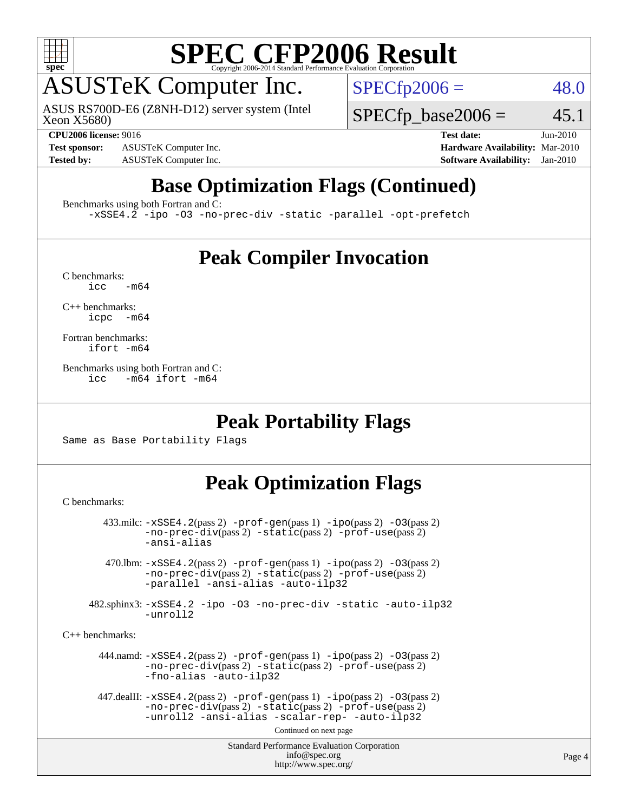

## ASUSTeK Computer Inc.

Xeon X5680) ASUS RS700D-E6 (Z8NH-D12) server system (Intel  $SPECfp2006 = 48.0$  $SPECfp2006 = 48.0$ 

### **[CPU2006 license:](http://www.spec.org/auto/cpu2006/Docs/result-fields.html#CPU2006license)** 9016 **[Test date:](http://www.spec.org/auto/cpu2006/Docs/result-fields.html#Testdate)** Jun-2010

**[Test sponsor:](http://www.spec.org/auto/cpu2006/Docs/result-fields.html#Testsponsor)** ASUSTeK Computer Inc. **[Hardware Availability:](http://www.spec.org/auto/cpu2006/Docs/result-fields.html#HardwareAvailability)** Mar-2010

 $SPECTp\_base2006 = 45.1$ 

**[Tested by:](http://www.spec.org/auto/cpu2006/Docs/result-fields.html#Testedby)** ASUSTeK Computer Inc. **[Software Availability:](http://www.spec.org/auto/cpu2006/Docs/result-fields.html#SoftwareAvailability)** Jan-2010

### **[Base Optimization Flags \(Continued\)](http://www.spec.org/auto/cpu2006/Docs/result-fields.html#BaseOptimizationFlags)**

[Benchmarks using both Fortran and C](http://www.spec.org/auto/cpu2006/Docs/result-fields.html#BenchmarksusingbothFortranandC):

[-xSSE4.2](http://www.spec.org/cpu2006/results/res2010q3/cpu2006-20100705-12176.flags.html#user_CC_FCbase_f-xSSE42_f91528193cf0b216347adb8b939d4107) [-ipo](http://www.spec.org/cpu2006/results/res2010q3/cpu2006-20100705-12176.flags.html#user_CC_FCbase_f-ipo) [-O3](http://www.spec.org/cpu2006/results/res2010q3/cpu2006-20100705-12176.flags.html#user_CC_FCbase_f-O3) [-no-prec-div](http://www.spec.org/cpu2006/results/res2010q3/cpu2006-20100705-12176.flags.html#user_CC_FCbase_f-no-prec-div) [-static](http://www.spec.org/cpu2006/results/res2010q3/cpu2006-20100705-12176.flags.html#user_CC_FCbase_f-static) [-parallel](http://www.spec.org/cpu2006/results/res2010q3/cpu2006-20100705-12176.flags.html#user_CC_FCbase_f-parallel) [-opt-prefetch](http://www.spec.org/cpu2006/results/res2010q3/cpu2006-20100705-12176.flags.html#user_CC_FCbase_f-opt-prefetch)

### **[Peak Compiler Invocation](http://www.spec.org/auto/cpu2006/Docs/result-fields.html#PeakCompilerInvocation)**

 $C$  benchmarks:<br>icc  $-m64$ 

[C++ benchmarks:](http://www.spec.org/auto/cpu2006/Docs/result-fields.html#CXXbenchmarks) [icpc -m64](http://www.spec.org/cpu2006/results/res2010q3/cpu2006-20100705-12176.flags.html#user_CXXpeak_intel_icpc_64bit_bedb90c1146cab66620883ef4f41a67e)

[Fortran benchmarks](http://www.spec.org/auto/cpu2006/Docs/result-fields.html#Fortranbenchmarks): [ifort -m64](http://www.spec.org/cpu2006/results/res2010q3/cpu2006-20100705-12176.flags.html#user_FCpeak_intel_ifort_64bit_ee9d0fb25645d0210d97eb0527dcc06e)

[Benchmarks using both Fortran and C](http://www.spec.org/auto/cpu2006/Docs/result-fields.html#BenchmarksusingbothFortranandC): [icc -m64](http://www.spec.org/cpu2006/results/res2010q3/cpu2006-20100705-12176.flags.html#user_CC_FCpeak_intel_icc_64bit_0b7121f5ab7cfabee23d88897260401c) [ifort -m64](http://www.spec.org/cpu2006/results/res2010q3/cpu2006-20100705-12176.flags.html#user_CC_FCpeak_intel_ifort_64bit_ee9d0fb25645d0210d97eb0527dcc06e)

### **[Peak Portability Flags](http://www.spec.org/auto/cpu2006/Docs/result-fields.html#PeakPortabilityFlags)**

Same as Base Portability Flags

### **[Peak Optimization Flags](http://www.spec.org/auto/cpu2006/Docs/result-fields.html#PeakOptimizationFlags)**

[C benchmarks](http://www.spec.org/auto/cpu2006/Docs/result-fields.html#Cbenchmarks):

```
Standard Performance Evaluation Corporation
                                           info@spec.org
                                         http://www.spec.org/
        433.milc: -xSSE4.2(pass 2) -prof-gen(pass 1) -ipo(pass 2) -O3(pass 2)
                -no-prec-div(pass 2) -static(pass 2) -prof-use(pass 2)
                -ansi-alias
         470.lbm: -xSSE4.2(pass 2) -prof-gen(pass 1) -ipo(pass 2) -O3(pass 2)
                -no-prec-div(pass 2) -static(pass 2) -prof-use(pass 2)
                -parallel -ansi-alias -auto-ilp32
      482.sphinx3: -xSSE4.2 -ipo -O3 -no-prec-div -static -auto-ilp32
                -unroll2
C++ benchmarks: 
        444.namd: -xSSE4.2(pass 2) -prof-gen(pass 1) -ipo(pass 2) -O3(pass 2)
                -no-prec-div(pass 2) -static(pass 2) -prof-use(pass 2)
                -fno-alias -auto-ilp32
      447.dealII: -xSSE4. 2(pass 2)-prof-gen-ipo(pass 2) -03(pass 2)
                -no-prec-div(pass 2) -static(pass 2) -prof-use(pass 2)
                -unroll2 -ansi-alias -scalar-rep- -auto-ilp32
                                         Continued on next page
```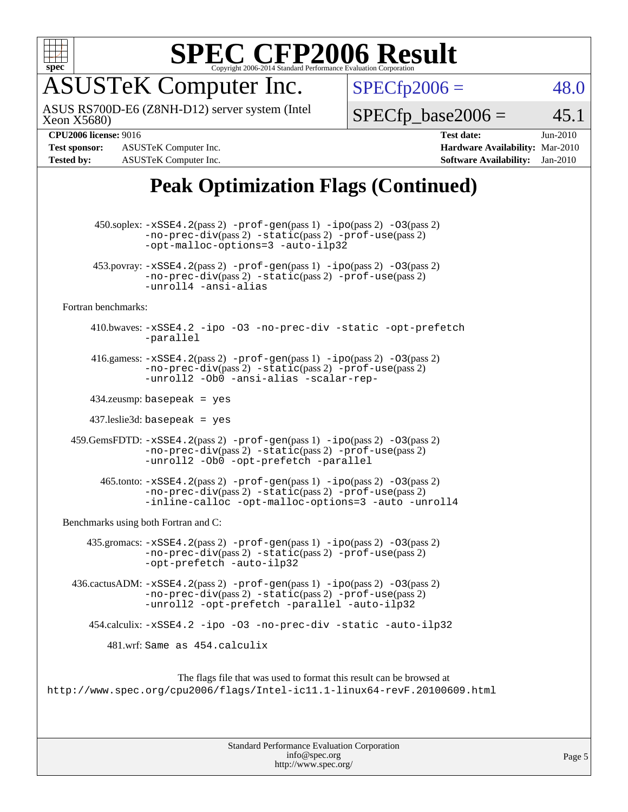

## ASUSTeK Computer Inc.

Xeon X5680) ASUS RS700D-E6 (Z8NH-D12) server system (Intel  $SPECTp2006 = 48.0$ 

 $SPECTp\_base2006 = 45.1$ 

**[Test sponsor:](http://www.spec.org/auto/cpu2006/Docs/result-fields.html#Testsponsor)** ASUSTeK Computer Inc. **[Hardware Availability:](http://www.spec.org/auto/cpu2006/Docs/result-fields.html#HardwareAvailability)** Mar-2010 **[Tested by:](http://www.spec.org/auto/cpu2006/Docs/result-fields.html#Testedby)** ASUSTeK Computer Inc. **[Software Availability:](http://www.spec.org/auto/cpu2006/Docs/result-fields.html#SoftwareAvailability)** Jan-2010

**[CPU2006 license:](http://www.spec.org/auto/cpu2006/Docs/result-fields.html#CPU2006license)** 9016 **[Test date:](http://www.spec.org/auto/cpu2006/Docs/result-fields.html#Testdate)** Jun-2010

### **[Peak Optimization Flags \(Continued\)](http://www.spec.org/auto/cpu2006/Docs/result-fields.html#PeakOptimizationFlags)**

 450.soplex: [-xSSE4.2](http://www.spec.org/cpu2006/results/res2010q3/cpu2006-20100705-12176.flags.html#user_peakPASS2_CXXFLAGSPASS2_LDFLAGS450_soplex_f-xSSE42_f91528193cf0b216347adb8b939d4107)(pass 2) [-prof-gen](http://www.spec.org/cpu2006/results/res2010q3/cpu2006-20100705-12176.flags.html#user_peakPASS1_CXXFLAGSPASS1_LDFLAGS450_soplex_prof_gen_e43856698f6ca7b7e442dfd80e94a8fc)(pass 1) [-ipo](http://www.spec.org/cpu2006/results/res2010q3/cpu2006-20100705-12176.flags.html#user_peakPASS2_CXXFLAGSPASS2_LDFLAGS450_soplex_f-ipo)(pass 2) [-O3](http://www.spec.org/cpu2006/results/res2010q3/cpu2006-20100705-12176.flags.html#user_peakPASS2_CXXFLAGSPASS2_LDFLAGS450_soplex_f-O3)(pass 2) [-no-prec-div](http://www.spec.org/cpu2006/results/res2010q3/cpu2006-20100705-12176.flags.html#user_peakPASS2_CXXFLAGSPASS2_LDFLAGS450_soplex_f-no-prec-div)(pass 2) [-static](http://www.spec.org/cpu2006/results/res2010q3/cpu2006-20100705-12176.flags.html#user_peakPASS2_CXXFLAGSPASS2_LDFLAGS450_soplex_f-static)(pass 2) [-prof-use](http://www.spec.org/cpu2006/results/res2010q3/cpu2006-20100705-12176.flags.html#user_peakPASS2_CXXFLAGSPASS2_LDFLAGS450_soplex_prof_use_bccf7792157ff70d64e32fe3e1250b55)(pass 2) [-opt-malloc-options=3](http://www.spec.org/cpu2006/results/res2010q3/cpu2006-20100705-12176.flags.html#user_peakOPTIMIZE450_soplex_f-opt-malloc-options_13ab9b803cf986b4ee62f0a5998c2238) [-auto-ilp32](http://www.spec.org/cpu2006/results/res2010q3/cpu2006-20100705-12176.flags.html#user_peakCXXOPTIMIZE450_soplex_f-auto-ilp32) 453.povray: [-xSSE4.2](http://www.spec.org/cpu2006/results/res2010q3/cpu2006-20100705-12176.flags.html#user_peakPASS2_CXXFLAGSPASS2_LDFLAGS453_povray_f-xSSE42_f91528193cf0b216347adb8b939d4107)(pass 2) [-prof-gen](http://www.spec.org/cpu2006/results/res2010q3/cpu2006-20100705-12176.flags.html#user_peakPASS1_CXXFLAGSPASS1_LDFLAGS453_povray_prof_gen_e43856698f6ca7b7e442dfd80e94a8fc)(pass 1) [-ipo](http://www.spec.org/cpu2006/results/res2010q3/cpu2006-20100705-12176.flags.html#user_peakPASS2_CXXFLAGSPASS2_LDFLAGS453_povray_f-ipo)(pass 2) [-O3](http://www.spec.org/cpu2006/results/res2010q3/cpu2006-20100705-12176.flags.html#user_peakPASS2_CXXFLAGSPASS2_LDFLAGS453_povray_f-O3)(pass 2) [-no-prec-div](http://www.spec.org/cpu2006/results/res2010q3/cpu2006-20100705-12176.flags.html#user_peakPASS2_CXXFLAGSPASS2_LDFLAGS453_povray_f-no-prec-div)(pass 2) [-static](http://www.spec.org/cpu2006/results/res2010q3/cpu2006-20100705-12176.flags.html#user_peakPASS2_CXXFLAGSPASS2_LDFLAGS453_povray_f-static)(pass 2) [-prof-use](http://www.spec.org/cpu2006/results/res2010q3/cpu2006-20100705-12176.flags.html#user_peakPASS2_CXXFLAGSPASS2_LDFLAGS453_povray_prof_use_bccf7792157ff70d64e32fe3e1250b55)(pass 2) [-unroll4](http://www.spec.org/cpu2006/results/res2010q3/cpu2006-20100705-12176.flags.html#user_peakCXXOPTIMIZE453_povray_f-unroll_4e5e4ed65b7fd20bdcd365bec371b81f) [-ansi-alias](http://www.spec.org/cpu2006/results/res2010q3/cpu2006-20100705-12176.flags.html#user_peakCXXOPTIMIZE453_povray_f-ansi-alias) [Fortran benchmarks](http://www.spec.org/auto/cpu2006/Docs/result-fields.html#Fortranbenchmarks): 410.bwaves: [-xSSE4.2](http://www.spec.org/cpu2006/results/res2010q3/cpu2006-20100705-12176.flags.html#user_peakOPTIMIZE410_bwaves_f-xSSE42_f91528193cf0b216347adb8b939d4107) [-ipo](http://www.spec.org/cpu2006/results/res2010q3/cpu2006-20100705-12176.flags.html#user_peakOPTIMIZE410_bwaves_f-ipo) [-O3](http://www.spec.org/cpu2006/results/res2010q3/cpu2006-20100705-12176.flags.html#user_peakOPTIMIZE410_bwaves_f-O3) [-no-prec-div](http://www.spec.org/cpu2006/results/res2010q3/cpu2006-20100705-12176.flags.html#user_peakOPTIMIZE410_bwaves_f-no-prec-div) [-static](http://www.spec.org/cpu2006/results/res2010q3/cpu2006-20100705-12176.flags.html#user_peakOPTIMIZE410_bwaves_f-static) [-opt-prefetch](http://www.spec.org/cpu2006/results/res2010q3/cpu2006-20100705-12176.flags.html#user_peakOPTIMIZE410_bwaves_f-opt-prefetch) [-parallel](http://www.spec.org/cpu2006/results/res2010q3/cpu2006-20100705-12176.flags.html#user_peakOPTIMIZE410_bwaves_f-parallel) 416.gamess:  $-xSSE4$ . 2(pass 2)  $-prof-gen(pass 1) -ipo(pass 2) -O3(pass 2)$  $-prof-gen(pass 1) -ipo(pass 2) -O3(pass 2)$  $-prof-gen(pass 1) -ipo(pass 2) -O3(pass 2)$  $-prof-gen(pass 1) -ipo(pass 2) -O3(pass 2)$  $-prof-gen(pass 1) -ipo(pass 2) -O3(pass 2)$  $-prof-gen(pass 1) -ipo(pass 2) -O3(pass 2)$ [-no-prec-div](http://www.spec.org/cpu2006/results/res2010q3/cpu2006-20100705-12176.flags.html#user_peakPASS2_FFLAGSPASS2_LDFLAGS416_gamess_f-no-prec-div)(pass 2) [-static](http://www.spec.org/cpu2006/results/res2010q3/cpu2006-20100705-12176.flags.html#user_peakPASS2_FFLAGSPASS2_LDFLAGS416_gamess_f-static)(pass 2) [-prof-use](http://www.spec.org/cpu2006/results/res2010q3/cpu2006-20100705-12176.flags.html#user_peakPASS2_FFLAGSPASS2_LDFLAGS416_gamess_prof_use_bccf7792157ff70d64e32fe3e1250b55)(pass 2) [-unroll2](http://www.spec.org/cpu2006/results/res2010q3/cpu2006-20100705-12176.flags.html#user_peakOPTIMIZE416_gamess_f-unroll_784dae83bebfb236979b41d2422d7ec2) [-Ob0](http://www.spec.org/cpu2006/results/res2010q3/cpu2006-20100705-12176.flags.html#user_peakOPTIMIZE416_gamess_f-Ob_n_fbe6f6428adb7d4b74b1e99bb2444c2d) [-ansi-alias](http://www.spec.org/cpu2006/results/res2010q3/cpu2006-20100705-12176.flags.html#user_peakOPTIMIZE416_gamess_f-ansi-alias) [-scalar-rep-](http://www.spec.org/cpu2006/results/res2010q3/cpu2006-20100705-12176.flags.html#user_peakOPTIMIZE416_gamess_f-disablescalarrep_abbcad04450fb118e4809c81d83c8a1d) 434.zeusmp: basepeak = yes 437.leslie3d: basepeak = yes 459.GemsFDTD: [-xSSE4.2](http://www.spec.org/cpu2006/results/res2010q3/cpu2006-20100705-12176.flags.html#user_peakPASS2_FFLAGSPASS2_LDFLAGS459_GemsFDTD_f-xSSE42_f91528193cf0b216347adb8b939d4107)(pass 2) [-prof-gen](http://www.spec.org/cpu2006/results/res2010q3/cpu2006-20100705-12176.flags.html#user_peakPASS1_FFLAGSPASS1_LDFLAGS459_GemsFDTD_prof_gen_e43856698f6ca7b7e442dfd80e94a8fc)(pass 1) [-ipo](http://www.spec.org/cpu2006/results/res2010q3/cpu2006-20100705-12176.flags.html#user_peakPASS2_FFLAGSPASS2_LDFLAGS459_GemsFDTD_f-ipo)(pass 2) [-O3](http://www.spec.org/cpu2006/results/res2010q3/cpu2006-20100705-12176.flags.html#user_peakPASS2_FFLAGSPASS2_LDFLAGS459_GemsFDTD_f-O3)(pass 2) [-no-prec-div](http://www.spec.org/cpu2006/results/res2010q3/cpu2006-20100705-12176.flags.html#user_peakPASS2_FFLAGSPASS2_LDFLAGS459_GemsFDTD_f-no-prec-div)(pass 2) [-static](http://www.spec.org/cpu2006/results/res2010q3/cpu2006-20100705-12176.flags.html#user_peakPASS2_FFLAGSPASS2_LDFLAGS459_GemsFDTD_f-static)(pass 2) [-prof-use](http://www.spec.org/cpu2006/results/res2010q3/cpu2006-20100705-12176.flags.html#user_peakPASS2_FFLAGSPASS2_LDFLAGS459_GemsFDTD_prof_use_bccf7792157ff70d64e32fe3e1250b55)(pass 2) [-unroll2](http://www.spec.org/cpu2006/results/res2010q3/cpu2006-20100705-12176.flags.html#user_peakOPTIMIZE459_GemsFDTD_f-unroll_784dae83bebfb236979b41d2422d7ec2) [-Ob0](http://www.spec.org/cpu2006/results/res2010q3/cpu2006-20100705-12176.flags.html#user_peakOPTIMIZE459_GemsFDTD_f-Ob_n_fbe6f6428adb7d4b74b1e99bb2444c2d) [-opt-prefetch](http://www.spec.org/cpu2006/results/res2010q3/cpu2006-20100705-12176.flags.html#user_peakOPTIMIZE459_GemsFDTD_f-opt-prefetch) [-parallel](http://www.spec.org/cpu2006/results/res2010q3/cpu2006-20100705-12176.flags.html#user_peakOPTIMIZE459_GemsFDTD_f-parallel)  $465$ .tonto:  $-xSSE4$ .  $2(pass 2)$  [-prof-gen](http://www.spec.org/cpu2006/results/res2010q3/cpu2006-20100705-12176.flags.html#user_peakPASS1_FFLAGSPASS1_LDFLAGS465_tonto_prof_gen_e43856698f6ca7b7e442dfd80e94a8fc)(pass 1) [-ipo](http://www.spec.org/cpu2006/results/res2010q3/cpu2006-20100705-12176.flags.html#user_peakPASS2_FFLAGSPASS2_LDFLAGS465_tonto_f-ipo)(pass 2) -03(pass 2) [-no-prec-div](http://www.spec.org/cpu2006/results/res2010q3/cpu2006-20100705-12176.flags.html#user_peakPASS2_FFLAGSPASS2_LDFLAGS465_tonto_f-no-prec-div)(pass 2) [-static](http://www.spec.org/cpu2006/results/res2010q3/cpu2006-20100705-12176.flags.html#user_peakPASS2_FFLAGSPASS2_LDFLAGS465_tonto_f-static)(pass 2) [-prof-use](http://www.spec.org/cpu2006/results/res2010q3/cpu2006-20100705-12176.flags.html#user_peakPASS2_FFLAGSPASS2_LDFLAGS465_tonto_prof_use_bccf7792157ff70d64e32fe3e1250b55)(pass 2) [-inline-calloc](http://www.spec.org/cpu2006/results/res2010q3/cpu2006-20100705-12176.flags.html#user_peakOPTIMIZE465_tonto_f-inline-calloc) [-opt-malloc-options=3](http://www.spec.org/cpu2006/results/res2010q3/cpu2006-20100705-12176.flags.html#user_peakOPTIMIZE465_tonto_f-opt-malloc-options_13ab9b803cf986b4ee62f0a5998c2238) [-auto](http://www.spec.org/cpu2006/results/res2010q3/cpu2006-20100705-12176.flags.html#user_peakOPTIMIZE465_tonto_f-auto) [-unroll4](http://www.spec.org/cpu2006/results/res2010q3/cpu2006-20100705-12176.flags.html#user_peakOPTIMIZE465_tonto_f-unroll_4e5e4ed65b7fd20bdcd365bec371b81f) [Benchmarks using both Fortran and C](http://www.spec.org/auto/cpu2006/Docs/result-fields.html#BenchmarksusingbothFortranandC): 435.gromacs:  $-xSSE4$ . 2(pass 2)  $-prof-gen(pass 1) -ipo(pass 2) -O3(pass 2)$  $-prof-gen(pass 1) -ipo(pass 2) -O3(pass 2)$  $-prof-gen(pass 1) -ipo(pass 2) -O3(pass 2)$  $-prof-gen(pass 1) -ipo(pass 2) -O3(pass 2)$  $-prof-gen(pass 1) -ipo(pass 2) -O3(pass 2)$  $-prof-gen(pass 1) -ipo(pass 2) -O3(pass 2)$ [-no-prec-div](http://www.spec.org/cpu2006/results/res2010q3/cpu2006-20100705-12176.flags.html#user_peakPASS2_CFLAGSPASS2_FFLAGSPASS2_LDFLAGS435_gromacs_f-no-prec-div)(pass 2) [-static](http://www.spec.org/cpu2006/results/res2010q3/cpu2006-20100705-12176.flags.html#user_peakPASS2_CFLAGSPASS2_FFLAGSPASS2_LDFLAGS435_gromacs_f-static)(pass 2) [-prof-use](http://www.spec.org/cpu2006/results/res2010q3/cpu2006-20100705-12176.flags.html#user_peakPASS2_CFLAGSPASS2_FFLAGSPASS2_LDFLAGS435_gromacs_prof_use_bccf7792157ff70d64e32fe3e1250b55)(pass 2) [-opt-prefetch](http://www.spec.org/cpu2006/results/res2010q3/cpu2006-20100705-12176.flags.html#user_peakOPTIMIZE435_gromacs_f-opt-prefetch) [-auto-ilp32](http://www.spec.org/cpu2006/results/res2010q3/cpu2006-20100705-12176.flags.html#user_peakCOPTIMIZE435_gromacs_f-auto-ilp32) 436.cactusADM: [-xSSE4.2](http://www.spec.org/cpu2006/results/res2010q3/cpu2006-20100705-12176.flags.html#user_peakPASS2_CFLAGSPASS2_FFLAGSPASS2_LDFLAGS436_cactusADM_f-xSSE42_f91528193cf0b216347adb8b939d4107)(pass 2) [-prof-gen](http://www.spec.org/cpu2006/results/res2010q3/cpu2006-20100705-12176.flags.html#user_peakPASS1_CFLAGSPASS1_FFLAGSPASS1_LDFLAGS436_cactusADM_prof_gen_e43856698f6ca7b7e442dfd80e94a8fc)(pass 1) [-ipo](http://www.spec.org/cpu2006/results/res2010q3/cpu2006-20100705-12176.flags.html#user_peakPASS2_CFLAGSPASS2_FFLAGSPASS2_LDFLAGS436_cactusADM_f-ipo)(pass 2) [-O3](http://www.spec.org/cpu2006/results/res2010q3/cpu2006-20100705-12176.flags.html#user_peakPASS2_CFLAGSPASS2_FFLAGSPASS2_LDFLAGS436_cactusADM_f-O3)(pass 2) [-no-prec-div](http://www.spec.org/cpu2006/results/res2010q3/cpu2006-20100705-12176.flags.html#user_peakPASS2_CFLAGSPASS2_FFLAGSPASS2_LDFLAGS436_cactusADM_f-no-prec-div)(pass 2) [-static](http://www.spec.org/cpu2006/results/res2010q3/cpu2006-20100705-12176.flags.html#user_peakPASS2_CFLAGSPASS2_FFLAGSPASS2_LDFLAGS436_cactusADM_f-static)(pass 2) [-prof-use](http://www.spec.org/cpu2006/results/res2010q3/cpu2006-20100705-12176.flags.html#user_peakPASS2_CFLAGSPASS2_FFLAGSPASS2_LDFLAGS436_cactusADM_prof_use_bccf7792157ff70d64e32fe3e1250b55)(pass 2) [-unroll2](http://www.spec.org/cpu2006/results/res2010q3/cpu2006-20100705-12176.flags.html#user_peakOPTIMIZE436_cactusADM_f-unroll_784dae83bebfb236979b41d2422d7ec2) [-opt-prefetch](http://www.spec.org/cpu2006/results/res2010q3/cpu2006-20100705-12176.flags.html#user_peakOPTIMIZE436_cactusADM_f-opt-prefetch) [-parallel](http://www.spec.org/cpu2006/results/res2010q3/cpu2006-20100705-12176.flags.html#user_peakOPTIMIZE436_cactusADM_f-parallel) [-auto-ilp32](http://www.spec.org/cpu2006/results/res2010q3/cpu2006-20100705-12176.flags.html#user_peakCOPTIMIZE436_cactusADM_f-auto-ilp32) 454.calculix: [-xSSE4.2](http://www.spec.org/cpu2006/results/res2010q3/cpu2006-20100705-12176.flags.html#user_peakOPTIMIZE454_calculix_f-xSSE42_f91528193cf0b216347adb8b939d4107) [-ipo](http://www.spec.org/cpu2006/results/res2010q3/cpu2006-20100705-12176.flags.html#user_peakOPTIMIZE454_calculix_f-ipo) [-O3](http://www.spec.org/cpu2006/results/res2010q3/cpu2006-20100705-12176.flags.html#user_peakOPTIMIZE454_calculix_f-O3) [-no-prec-div](http://www.spec.org/cpu2006/results/res2010q3/cpu2006-20100705-12176.flags.html#user_peakOPTIMIZE454_calculix_f-no-prec-div) [-static](http://www.spec.org/cpu2006/results/res2010q3/cpu2006-20100705-12176.flags.html#user_peakOPTIMIZE454_calculix_f-static) [-auto-ilp32](http://www.spec.org/cpu2006/results/res2010q3/cpu2006-20100705-12176.flags.html#user_peakCOPTIMIZE454_calculix_f-auto-ilp32) 481.wrf: Same as 454.calculix The flags file that was used to format this result can be browsed at <http://www.spec.org/cpu2006/flags/Intel-ic11.1-linux64-revF.20100609.html>